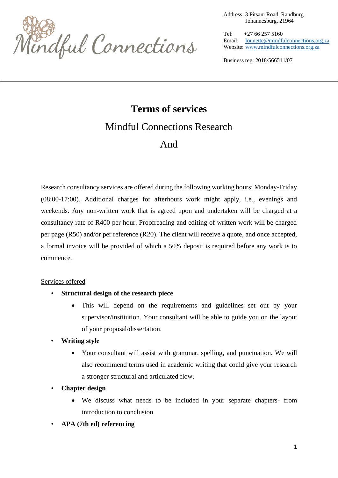Poordful Cannections

Address: 3 Pitsani Road, Randburg Johannesburg, 21964

Tel: +27 66 257 5160 Email: [lounette@mindfulconnections.org.za](mailto:lounette@mindfulconnections.org.za) Website: [www.mindfulconnections.org.za](http://www.mindfulconnections.org.za/)

Business reg: 2018/566511/07

## **Terms of services** Mindful Connections Research And

Research consultancy services are offered during the following working hours: Monday-Friday (08:00-17:00). Additional charges for afterhours work might apply, i.e., evenings and weekends. Any non-written work that is agreed upon and undertaken will be charged at a consultancy rate of R400 per hour. Proofreading and editing of written work will be charged per page (R50) and/or per reference (R20). The client will receive a quote, and once accepted, a formal invoice will be provided of which a 50% deposit is required before any work is to commence.

## Services offered

- **Structural design of the research piece** 
	- This will depend on the requirements and guidelines set out by your supervisor/institution. Your consultant will be able to guide you on the layout of your proposal/dissertation.
- **Writing style** 
	- Your consultant will assist with grammar, spelling, and punctuation. We will also recommend terms used in academic writing that could give your research a stronger structural and articulated flow.
- **Chapter design**
	- We discuss what needs to be included in your separate chapters- from introduction to conclusion.
- **APA (7th ed) referencing**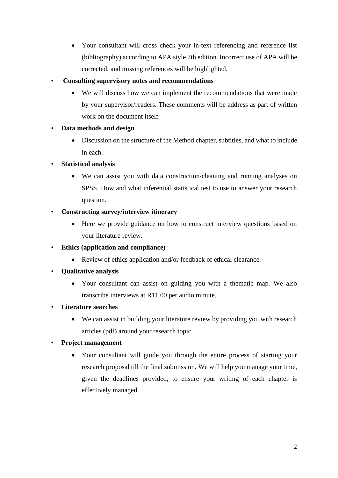- Your consultant will cross check your in-text referencing and reference list (bibliography) according to APA style 7th edition. Incorrect use of APA will be corrected, and missing references will be highlighted.
- **Consulting supervisory notes and recommendations**
	- We will discuss how we can implement the recommendations that were made by your supervisor/readers. These comments will be address as part of written work on the document itself.
- **Data methods and design** 
	- Discussion on the structure of the Method chapter, subtitles, and what to include in each.
- **Statistical analysis** 
	- We can assist you with data construction/cleaning and running analyses on SPSS. How and what inferential statistical test to use to answer your research question.
- **Constructing survey/interview itinerary** 
	- Here we provide guidance on how to construct interview questions based on your literature review.
- **Ethics (application and compliance)** 
	- Review of ethics application and/or feedback of ethical clearance.
- **Qualitative analysis**
	- Your consultant can assist on guiding you with a thematic map. We also transcribe interviews at R11.00 per audio minute.
- **Literature searches** 
	- We can assist in building your literature review by providing you with research articles (pdf) around your research topic.
- **Project management**
	- Your consultant will guide you through the entire process of starting your research proposal till the final submission. We will help you manage your time, given the deadlines provided, to ensure your writing of each chapter is effectively managed.